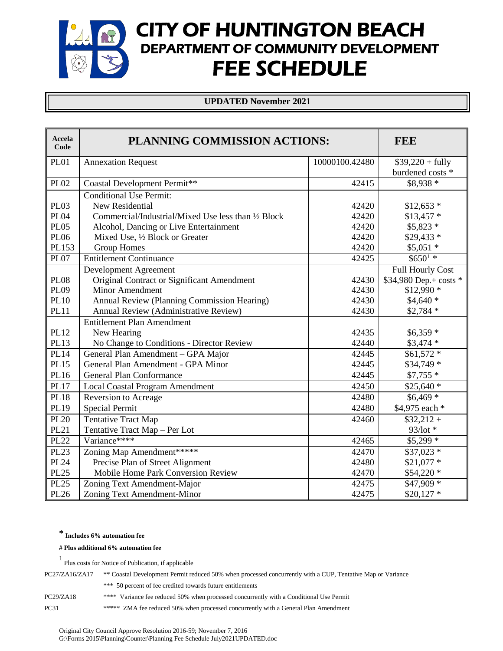# CITY OF HUNTINGTON BEACH DEPARTMENT OF COMMUNITY DEVELOPMENT  $\mathbb{Y}$ FEE SCHEDULE

#### **UPDATED November 2021**

| <b>Accela</b><br>Code | PLANNING COMMISSION ACTIONS:                        | <b>FEE</b>     |                        |
|-----------------------|-----------------------------------------------------|----------------|------------------------|
| <b>PL01</b>           | <b>Annexation Request</b>                           | 10000100.42480 | $$39,220 + fully$      |
|                       |                                                     |                | burdened costs *       |
| <b>PL02</b>           | Coastal Development Permit**                        | 42415          | $$8,938*$              |
|                       | <b>Conditional Use Permit:</b>                      |                |                        |
| <b>PL03</b>           | New Residential                                     | 42420          | $$12,653$ *            |
| <b>PL04</b>           | Commercial/Industrial/Mixed Use less than 1/2 Block | 42420          | $$13,457$ *            |
| <b>PL05</b>           | Alcohol, Dancing or Live Entertainment              | 42420          | $$5,823$ *             |
| <b>PL06</b>           | Mixed Use, 1/2 Block or Greater                     | 42420          | \$29,433 *             |
| PL153                 | <b>Group Homes</b>                                  | 42420          | $$5,051$ *             |
| <b>PL07</b>           | <b>Entitlement Continuance</b>                      | 42425          | $$650^{1}$ *           |
|                       | Development Agreement                               |                | Full Hourly Cost       |
| <b>PL08</b>           | Original Contract or Significant Amendment          | 42430          | \$34,980 Dep.+ costs * |
| <b>PL09</b>           | <b>Minor Amendment</b>                              | 42430          | $$12,990$ *            |
| <b>PL10</b>           | Annual Review (Planning Commission Hearing)         | 42430          | $$4,640*$              |
| <b>PL11</b>           | Annual Review (Administrative Review)               | 42430          | $$2,784$ *             |
|                       | <b>Entitlement Plan Amendment</b>                   |                |                        |
| <b>PL12</b>           | New Hearing                                         | 42435          | $$6,359$ *             |
| PL13                  | No Change to Conditions - Director Review           | 42440          | $$3,474$ *             |
| <b>PL14</b>           | General Plan Amendment - GPA Major                  | 42445          | $$61,572$ *            |
| <b>PL15</b>           | General Plan Amendment - GPA Minor                  | 42445          | $$34,749$ *            |
| PL16                  | <b>General Plan Conformance</b>                     | 42445          | $$7,755*$              |
| <b>PL17</b>           | <b>Local Coastal Program Amendment</b>              | 42450          | $$25,640*$             |
| <b>PL18</b>           | Reversion to Acreage                                | 42480          | $$6,469$ *             |
| PL19                  | Special Permit                                      | 42480          | \$4,975 each *         |
| <b>PL20</b>           | <b>Tentative Tract Map</b>                          | 42460          | $$32,212+$             |
| <b>PL21</b>           | Tentative Tract Map - Per Lot                       |                | 93/lot *               |
| <b>PL22</b>           | Variance****                                        | 42465          | \$5,299 *              |
| <b>PL23</b>           | Zoning Map Amendment******                          | 42470          | $$37,023$ *            |
| <b>PL24</b>           | Precise Plan of Street Alignment                    | 42480          | $$21,077$ *            |
| <b>PL25</b>           | Mobile Home Park Conversion Review                  | 42470          | \$54,220 *             |
| <b>PL25</b>           | Zoning Text Amendment-Major                         | 42475          | \$47,909 *             |
| <b>PL26</b>           | Zoning Text Amendment-Minor                         | 42475          | $$20,127$ *            |

#### **\* Includes 6% automation fee**

#### **# Plus additional 6% automation fee**

| PC27/ZA16/ZA17 | ** Coastal Development Permit reduced 50% when processed concurrently with a CUP. Tentative Map or Variance |
|----------------|-------------------------------------------------------------------------------------------------------------|
|                | *** 50 percent of fee credited towards future entitlements                                                  |
| PC29/ZA18      | **** Variance fee reduced 50% when processed concurrently with a Conditional Use Permit                     |
| <b>PC31</b>    | ***** ZMA fee reduced 50% when processed concurrently with a General Plan Amendment                         |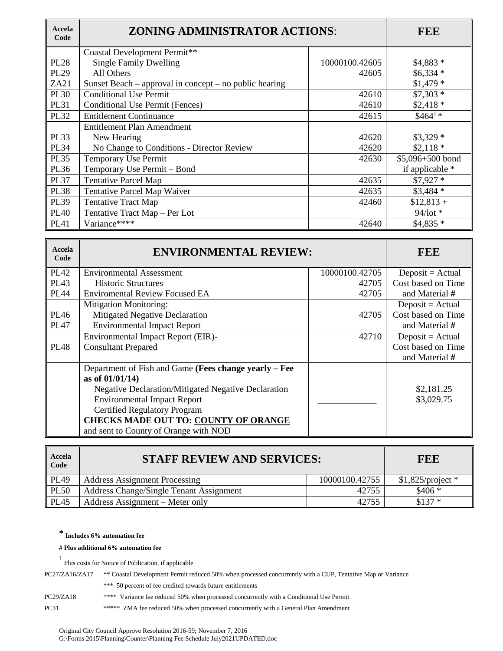| Accela<br>Code | <b>ZONING ADMINISTRATOR ACTIONS:</b>                   | <b>FEE</b>     |                  |
|----------------|--------------------------------------------------------|----------------|------------------|
|                | Coastal Development Permit**                           |                |                  |
| <b>PL28</b>    | <b>Single Family Dwelling</b>                          | 10000100.42605 | $$4,883*$        |
| <b>PL29</b>    | All Others                                             | 42605          | $$6,334*$        |
| ZA21           | Sunset Beach – approval in concept – no public hearing |                | $$1,479$ *       |
| <b>PL30</b>    | <b>Conditional Use Permit</b>                          | 42610          | $$7,303*$        |
| <b>PL31</b>    | Conditional Use Permit (Fences)                        | 42610          | $$2,418*$        |
| <b>PL32</b>    | <b>Entitlement Continuance</b>                         | 42615          | $$464^{1*}$      |
|                | Entitlement Plan Amendment                             |                |                  |
| <b>PL33</b>    | New Hearing                                            | 42620          | $$3,329$ *       |
| <b>PL34</b>    | No Change to Conditions - Director Review              | 42620          | $$2,118*$        |
| <b>PL35</b>    | Temporary Use Permit                                   | 42630          | \$5,096+500 bond |
| PL36           | Temporary Use Permit - Bond                            |                | if applicable *  |
| <b>PL37</b>    | <b>Tentative Parcel Map</b>                            | 42635          | $$7,927$ *       |
| <b>PL38</b>    | <b>Tentative Parcel Map Waiver</b>                     | 42635          | $$3,484$ *       |
| <b>PL39</b>    | <b>Tentative Tract Map</b>                             | 42460          | $$12,813+$       |
| <b>PL40</b>    | Tentative Tract Map - Per Lot                          |                | 94/lot *         |
| <b>PL41</b>    | Variance****                                           | 42640          | $$4,835*$        |

| Accela<br>Code   | <b>ENVIRONMENTAL REVIEW:</b>                               |                | <b>FEE</b>         |
|------------------|------------------------------------------------------------|----------------|--------------------|
| <b>PL42</b>      | <b>Environmental Assessment</b>                            | 10000100.42705 | $Deposit = Actual$ |
| PL <sub>43</sub> | <b>Historic Structures</b>                                 | 42705          | Cost based on Time |
| <b>PL44</b>      | <b>Enviromental Review Focused EA</b>                      | 42705          | and Material #     |
|                  | <b>Mitigation Monitoring:</b>                              |                | $Deposit = Actual$ |
| <b>PL46</b>      | Mitigated Negative Declaration                             | 42705          | Cost based on Time |
| <b>PL47</b>      | <b>Environmental Impact Report</b>                         |                | and Material #     |
|                  | Environmental Impact Report (EIR)-                         | 42710          | $Deposit = Actual$ |
| <b>PL48</b>      | <b>Consultant Prepared</b>                                 |                | Cost based on Time |
|                  |                                                            |                | and Material #     |
|                  | Department of Fish and Game (Fees change yearly – Fee      |                |                    |
|                  | as of 01/01/14)                                            |                |                    |
|                  | <b>Negative Declaration/Mitigated Negative Declaration</b> |                | \$2,181.25         |
|                  | <b>Environmental Impact Report</b>                         |                | \$3,029.75         |
|                  | <b>Certified Regulatory Program</b>                        |                |                    |
|                  | <b>CHECKS MADE OUT TO: COUNTY OF ORANGE</b>                |                |                    |
|                  | and sent to County of Orange with NOD                      |                |                    |

| Accela<br>Code | <b>STAFF REVIEW AND SERVICES:</b>       |                | FEE                 |
|----------------|-----------------------------------------|----------------|---------------------|
| <b>PL49</b>    | <b>Address Assignment Processing</b>    | 10000100.42755 | $$1,825$ /project * |
| <b>PL50</b>    | Address Change/Single Tenant Assignment | 42755          | $$406*$             |
| <b>PL45</b>    | Address Assignment – Meter only         | 42755          | $$137*$             |

#### **# Plus additional 6% automation fee**

1 Plus costs for Notice of Publication, if applicable

| PC27/ZA16/ZA17 ** Coastal Development Permit reduced 50% when processed concurrently with a CUP, Tentative Map or Variance |
|----------------------------------------------------------------------------------------------------------------------------|
|                                                                                                                            |

\*\*\* 50 percent of fee credited towards future entitlements

PC29/ZA18 \*\*\*\* Variance fee reduced 50% when processed concurrently with a Conditional Use Permit

PC31 \*\*\*\*\* ZMA fee reduced 50% when processed concurrently with a General Plan Amendment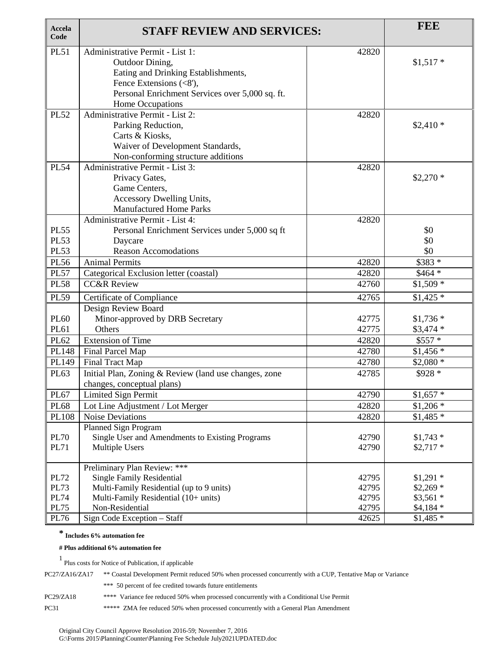| Accela<br>Code                                                   | <b>STAFF REVIEW AND SERVICES:</b>                                                                                                                                                                      |                                           | <b>FEE</b>                                                         |
|------------------------------------------------------------------|--------------------------------------------------------------------------------------------------------------------------------------------------------------------------------------------------------|-------------------------------------------|--------------------------------------------------------------------|
| <b>PL51</b>                                                      | Administrative Permit - List 1:<br>Outdoor Dining,<br>Eating and Drinking Establishments,<br>Fence Extensions $(<8')$ ,<br>Personal Enrichment Services over 5,000 sq. ft.                             | 42820                                     | $$1,517$ *                                                         |
| <b>PL52</b>                                                      | Home Occupations<br>Administrative Permit - List 2:<br>Parking Reduction,<br>Carts & Kiosks,<br>Waiver of Development Standards,<br>Non-conforming structure additions                                 | 42820                                     | $$2,410*$                                                          |
| <b>PL54</b>                                                      | Administrative Permit - List 3:<br>Privacy Gates,<br>Game Centers,<br>Accessory Dwelling Units,<br><b>Manufactured Home Parks</b>                                                                      | 42820                                     | $$2,270*$                                                          |
| <b>PL55</b><br><b>PL53</b><br><b>PL53</b>                        | Administrative Permit - List 4:<br>Personal Enrichment Services under 5,000 sq ft<br>Daycare<br><b>Reason Accomodations</b>                                                                            | 42820                                     | \$0<br>\$0<br>\$0                                                  |
| <b>PL56</b><br><b>PL57</b>                                       | <b>Animal Permits</b>                                                                                                                                                                                  | 42820<br>42820                            | \$383 *<br>$$464*$                                                 |
| <b>PL58</b>                                                      | Categorical Exclusion letter (coastal)<br><b>CC&amp;R Review</b>                                                                                                                                       | 42760                                     | $$1,509*$                                                          |
| <b>PL59</b>                                                      | Certificate of Compliance                                                                                                                                                                              | 42765                                     | $$1,425$ *                                                         |
| <b>PL60</b><br>PL61                                              | Design Review Board<br>Minor-approved by DRB Secretary<br>Others                                                                                                                                       | 42775<br>42775                            | $$1,736*$<br>$$3,474$ *                                            |
| PL62                                                             | <b>Extension of Time</b>                                                                                                                                                                               | 42820                                     | $$557*$                                                            |
| PL148                                                            | Final Parcel Map                                                                                                                                                                                       | 42780                                     | $$1,456$ *                                                         |
| PL149<br>PL63                                                    | Final Tract Map<br>Initial Plan, Zoning & Review (land use changes, zone<br>changes, conceptual plans)                                                                                                 | 42780<br>42785                            | $$2,080*$<br>\$928 *                                               |
| PL67                                                             | Limited Sign Permit                                                                                                                                                                                    | 42790                                     | $$1,657$ *                                                         |
| <b>PL68</b>                                                      | Lot Line Adjustment / Lot Merger                                                                                                                                                                       | 42820                                     | $$1,206*$                                                          |
| PL108                                                            | <b>Noise Deviations</b>                                                                                                                                                                                | 42820                                     | $$1,485$ *                                                         |
| <b>PL70</b><br><b>PL71</b>                                       | Planned Sign Program<br>Single User and Amendments to Existing Programs<br><b>Multiple Users</b>                                                                                                       | 42790<br>42790                            | $$1,743$ *<br>$$2,717$ *                                           |
| <b>PL72</b><br><b>PL73</b><br><b>PL74</b><br><b>PL75</b><br>PL76 | Preliminary Plan Review: ***<br><b>Single Family Residential</b><br>Multi-Family Residential (up to 9 units)<br>Multi-Family Residential (10+ units)<br>Non-Residential<br>Sign Code Exception - Staff | 42795<br>42795<br>42795<br>42795<br>42625 | $$1,291$ *<br>$$2,269$ *<br>$$3,561$ *<br>$$4,184$ *<br>$$1,485$ * |

#### **# Plus additional 6% automation fee**

| PC27/ZA16/ZA17 | ** Coastal Development Permit reduced 50% when processed concurrently with a CUP, Tentative Map or Variance |  |
|----------------|-------------------------------------------------------------------------------------------------------------|--|
|                | *** 50 percent of fee credited towards future entitlements                                                  |  |
| PC29/ZA18      | **** Variance fee reduced 50% when processed concurrently with a Conditional Use Permit                     |  |
| <b>PC31</b>    | ***** ZMA fee reduced 50% when processed concurrently with a General Plan Amendment                         |  |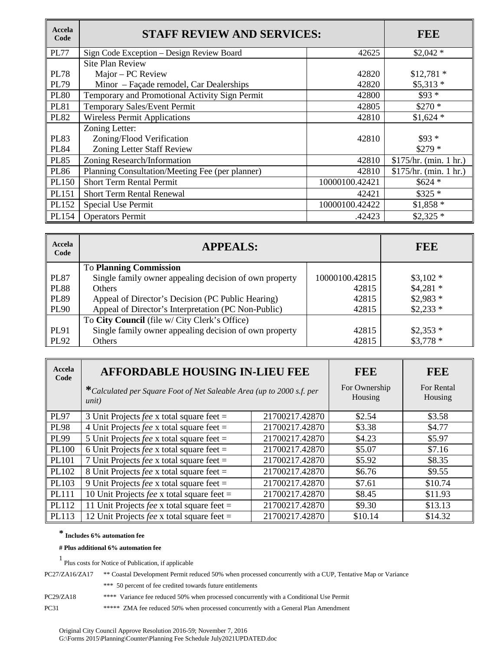| Accela<br>Code | <b>STAFF REVIEW AND SERVICES:</b>               |                | <b>FEE</b>             |
|----------------|-------------------------------------------------|----------------|------------------------|
| <b>PL77</b>    | Sign Code Exception - Design Review Board       | 42625          | $$2,042*$              |
|                | <b>Site Plan Review</b>                         |                |                        |
| <b>PL78</b>    | Major – PC Review                               | 42820          | $$12,781$ *            |
| <b>PL79</b>    | Minor - Façade remodel, Car Dealerships         | 42820          | $$5,313*$              |
| <b>PL80</b>    | Temporary and Promotional Activity Sign Permit  | 42800          | $$93*$                 |
| <b>PL81</b>    | Temporary Sales/Event Permit                    | 42805          | $$270*$                |
| <b>PL82</b>    | <b>Wireless Permit Applications</b>             | 42810          | $$1,624$ *             |
|                | Zoning Letter:                                  |                |                        |
| <b>PL83</b>    | Zoning/Flood Verification                       | 42810          | $$93*$                 |
| <b>PL84</b>    | Zoning Letter Staff Review                      |                | $$279*$                |
| <b>PL85</b>    | Zoning Research/Information                     | 42810          | \$175/hr. (min. 1 hr.) |
| <b>PL86</b>    | Planning Consultation/Meeting Fee (per planner) | 42810          | \$175/hr. (min. 1 hr.) |
| PL150          | <b>Short Term Rental Permit</b>                 | 10000100.42421 | $$624$ *               |
| PL151          | <b>Short Term Rental Renewal</b>                | 42421          | $$325*$                |
| PL152          | Special Use Permit                              | 10000100.42422 | $$1,858*$              |
| PL154          | <b>Operators Permit</b>                         | .42423         | $$2,325$ *             |

| Accela<br>Code | <b>APPEALS:</b>                                        |                | <b>FEE</b> |
|----------------|--------------------------------------------------------|----------------|------------|
|                | <b>To Planning Commission</b>                          |                |            |
| PL87           | Single family owner appealing decision of own property | 10000100.42815 | $$3,102*$  |
| <b>PL88</b>    | <b>Others</b>                                          | 42815          | $$4,281$ * |
| <b>PL89</b>    | Appeal of Director's Decision (PC Public Hearing)      | 42815          | $$2,983$ * |
| PL90           | Appeal of Director's Interpretation (PC Non-Public)    | 42815          | $$2,233$ * |
|                | To City Council (file w/ City Clerk's Office)          |                |            |
| <b>PL91</b>    | Single family owner appealing decision of own property | 42815          | $$2,353*$  |
| PL92           | Others                                                 | 42815          | $$3,778$ * |

| <b>Accela</b><br>Code | <b>AFFORDABLE HOUSING IN-LIEU FEE</b>                                          |                | <b>FEE</b>               | <b>FEE</b>            |
|-----------------------|--------------------------------------------------------------------------------|----------------|--------------------------|-----------------------|
|                       | *Calculated per Square Foot of Net Saleable Area (up to 2000 s.f. per<br>unit) |                | For Ownership<br>Housing | For Rental<br>Housing |
| <b>PL97</b>           | 3 Unit Projects <i>fee</i> x total square feet =                               | 21700217.42870 | \$2.54                   | \$3.58                |
| <b>PL98</b>           | 4 Unit Projects fee x total square feet $=$                                    | 21700217.42870 | \$3.38                   | \$4.77                |
| <b>PL99</b>           | 5 Unit Projects <i>fee</i> x total square feet =                               | 21700217.42870 | \$4.23                   | \$5.97                |
| <b>PL100</b>          | 6 Unit Projects <i>fee</i> x total square feet $=$                             | 21700217.42870 | \$5.07                   | \$7.16                |
| <b>PL101</b>          | 7 Unit Projects <i>fee</i> x total square feet $=$                             | 21700217.42870 | \$5.92                   | \$8.35                |
| PL102                 | 8 Unit Projects <i>fee</i> x total square feet =                               | 21700217.42870 | \$6.76                   | \$9.55                |
| PL103                 | 9 Unit Projects <i>fee</i> x total square feet $=$                             | 21700217.42870 | \$7.61                   | \$10.74               |
| <b>PL111</b>          | 10 Unit Projects fee x total square feet =                                     | 21700217.42870 | \$8.45                   | \$11.93               |
| PL112                 | 11 Unit Projects <i>fee</i> x total square feet =                              | 21700217.42870 | \$9.30                   | \$13.13               |
| PL113                 | 12 Unit Projects <i>fee</i> x total square feet =                              | 21700217.42870 | \$10.14                  | \$14.32               |

#### **# Plus additional 6% automation fee**

| PC27/ZA16/ZA17 | ** Coastal Development Permit reduced 50% when processed concurrently with a CUP, Tentative Map or Variance |
|----------------|-------------------------------------------------------------------------------------------------------------|
|                | *** 50 percent of fee credited towards future entitlements                                                  |
| PC29/ZA18      | **** Variance fee reduced 50% when processed concurrently with a Conditional Use Permit                     |
| <b>PC31</b>    | ***** ZMA fee reduced 50% when processed concurrently with a General Plan Amendment                         |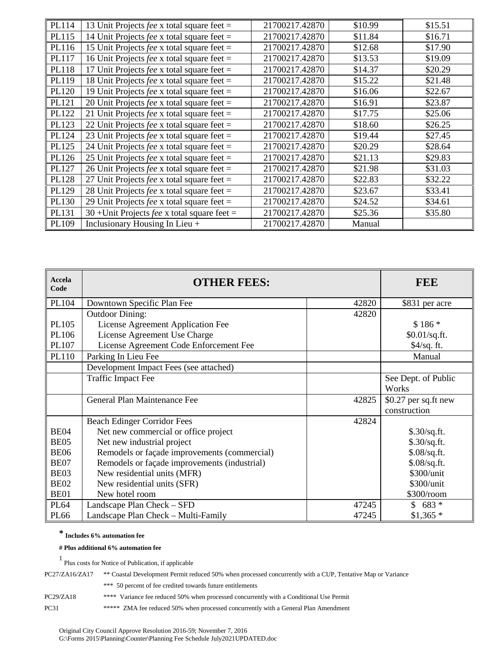| PL114        | 13 Unit Projects fee x total square feet =          | 21700217.42870 | \$10.99 | \$15.51 |
|--------------|-----------------------------------------------------|----------------|---------|---------|
| PL115        | 14 Unit Projects <i>fee</i> x total square feet =   | 21700217.42870 | \$11.84 | \$16.71 |
| PL116        | 15 Unit Projects <i>fee</i> x total square feet =   | 21700217.42870 | \$12.68 | \$17.90 |
| PL117        | 16 Unit Projects <i>fee</i> x total square feet =   | 21700217.42870 | \$13.53 | \$19.09 |
| <b>PL118</b> | 17 Unit Projects <i>fee</i> x total square feet =   | 21700217.42870 | \$14.37 | \$20.29 |
| PL119        | 18 Unit Projects <i>fee</i> x total square feet =   | 21700217.42870 | \$15.22 | \$21.48 |
| PL120        | 19 Unit Projects <i>fee</i> x total square feet =   | 21700217.42870 | \$16.06 | \$22.67 |
| PL121        | 20 Unit Projects <i>fee</i> x total square feet =   | 21700217.42870 | \$16.91 | \$23.87 |
| PL122        | 21 Unit Projects <i>fee</i> x total square feet =   | 21700217.42870 | \$17.75 | \$25.06 |
| PL123        | 22 Unit Projects fee x total square feet $=$        | 21700217.42870 | \$18.60 | \$26.25 |
| PL124        | 23 Unit Projects fee x total square feet =          | 21700217.42870 | \$19.44 | \$27.45 |
| PL125        | 24 Unit Projects <i>fee</i> x total square feet =   | 21700217.42870 | \$20.29 | \$28.64 |
| PL126        | 25 Unit Projects <i>fee</i> x total square feet =   | 21700217.42870 | \$21.13 | \$29.83 |
| PL127        | 26 Unit Projects fee x total square feet $=$        | 21700217.42870 | \$21.98 | \$31.03 |
| PL128        | 27 Unit Projects fee x total square feet =          | 21700217.42870 | \$22.83 | \$32.22 |
| PL129        | 28 Unit Projects <i>fee</i> x total square feet =   | 21700217.42870 | \$23.67 | \$33.41 |
| PL130        | 29 Unit Projects fee x total square feet =          | 21700217.42870 | \$24.52 | \$34.61 |
| PL131        | 30 + Unit Projects <i>fee</i> x total square feet = | 21700217.42870 | \$25.36 | \$35.80 |
| PL109        | Inclusionary Housing In Lieu +                      | 21700217.42870 | Manual  |         |

| Accela<br>Code   | <b>OTHER FEES:</b>                           | <b>FEE</b> |                      |
|------------------|----------------------------------------------|------------|----------------------|
| PL104            | Downtown Specific Plan Fee                   | 42820      | \$831 per acre       |
|                  | <b>Outdoor Dining:</b>                       | 42820      |                      |
| PL105            | License Agreement Application Fee            |            | $$186*$              |
| PL106            | License Agreement Use Charge                 |            | \$0.01/sq.fit.       |
| PL107            | License Agreement Code Enforcement Fee       |            | \$4/sq. ft.          |
| PL110            | Parking In Lieu Fee                          |            | Manual               |
|                  | Development Impact Fees (see attached)       |            |                      |
|                  | <b>Traffic Impact Fee</b>                    |            | See Dept. of Public  |
|                  |                                              |            | Works                |
|                  | General Plan Maintenance Fee                 | 42825      | \$0.27 per sq.ft new |
|                  |                                              |            | construction         |
|                  | <b>Beach Edinger Corridor Fees</b>           | 42824      |                      |
| BE <sub>04</sub> | Net new commercial or office project         |            | \$.30/sq.fit.        |
| BE <sub>05</sub> | Net new industrial project                   |            | \$.30/sq.fit.        |
| <b>BE06</b>      | Remodels or façade improvements (commercial) |            | \$.08/sq.fit.        |
| BE07             | Remodels or façade improvements (industrial) |            | \$.08/sq.fit.        |
| BE03             | New residential units (MFR)                  |            | \$300/unit           |
| BE <sub>02</sub> | New residential units (SFR)                  |            | \$300/unit           |
| BE01             | New hotel room                               |            | \$300/room           |
| <b>PL64</b>      | Landscape Plan Check - SFD                   | 47245      | $$683*$              |
| <b>PL66</b>      | Landscape Plan Check – Multi-Family          | 47245      | $$1,365$ *           |

#### **# Plus additional 6% automation fee**

| PC27/ZA16/ZA17 | ** Coastal Development Permit reduced 50% when processed concurrently with a CUP, Tentative Map or Variance |  |  |
|----------------|-------------------------------------------------------------------------------------------------------------|--|--|
|                | *** 50 percent of fee credited towards future entitlements                                                  |  |  |
| PC29/ZA18      | **** Variance fee reduced 50% when processed concurrently with a Conditional Use Permit                     |  |  |
| <b>PC31</b>    | ***** ZMA fee reduced 50% when processed concurrently with a General Plan Amendment                         |  |  |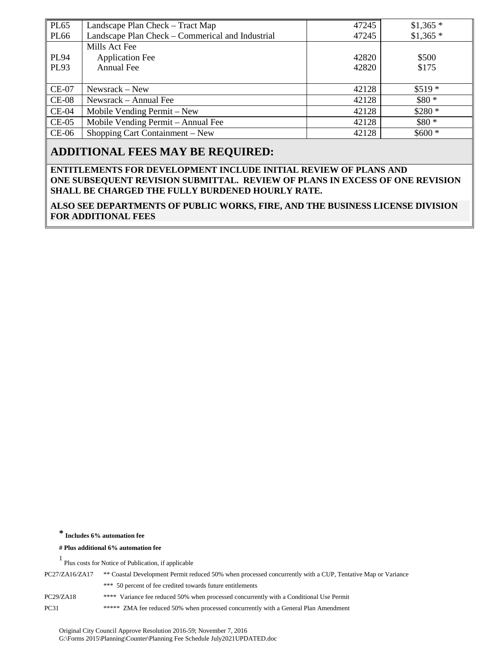| <b>PL65</b>  | Landscape Plan Check – Tract Map                 | 47245 | $$1,365$ * |
|--------------|--------------------------------------------------|-------|------------|
| <b>PL66</b>  | Landscape Plan Check – Commerical and Industrial | 47245 | $$1,365$ * |
|              | Mills Act Fee                                    |       |            |
| <b>PL94</b>  | <b>Application Fee</b>                           | 42820 | \$500      |
| <b>PL93</b>  | <b>Annual Fee</b>                                | 42820 | \$175      |
|              |                                                  |       |            |
| <b>CE-07</b> | Newsrack – New                                   | 42128 | $$519*$    |
| $CE-08$      | Newsrack – Annual Fee                            | 42128 | $$80*$     |
| $CE-04$      | Mobile Vending Permit – New                      | 42128 | $$280*$    |
| $CE-05$      | Mobile Vending Permit - Annual Fee               | 42128 | $$80*$     |
| $CE-06$      | Shopping Cart Containment – New                  | 42128 | $$600*$    |

## **ADDITIONAL FEES MAY BE REQUIRED:**

**ENTITLEMENTS FOR DEVELOPMENT INCLUDE INITIAL REVIEW OF PLANS AND ONE SUBSEQUENT REVISION SUBMITTAL. REVIEW OF PLANS IN EXCESS OF ONE REVISION SHALL BE CHARGED THE FULLY BURDENED HOURLY RATE.**

**ALSO SEE DEPARTMENTS OF PUBLIC WORKS, FIRE, AND THE BUSINESS LICENSE DIVISION FOR ADDITIONAL FEES**

**\* Includes 6% automation fee** 

**# Plus additional 6% automation fee**

| PC27/ZA16/ZA17 | ** Coastal Development Permit reduced 50% when processed concurrently with a CUP, Tentative Map or Variance |
|----------------|-------------------------------------------------------------------------------------------------------------|
|                | *** 50 percent of fee credited towards future entitlements                                                  |
| PC29/ZA18      | **** Variance fee reduced 50% when processed concurrently with a Conditional Use Permit                     |
| <b>PC31</b>    | ***** ZMA fee reduced 50% when processed concurrently with a General Plan Amendment                         |